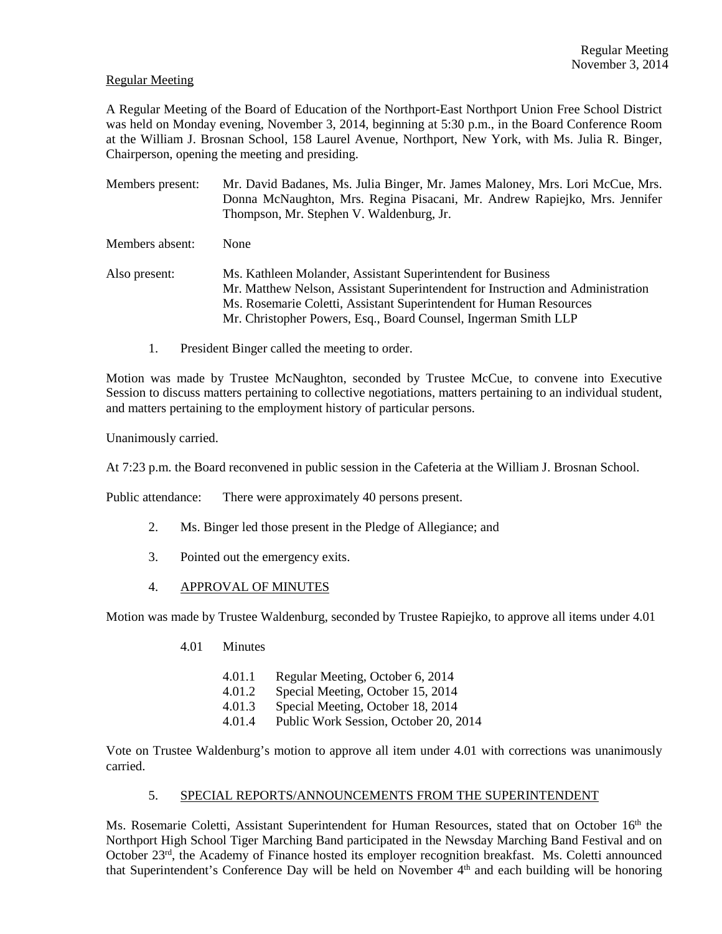# Regular Meeting

A Regular Meeting of the Board of Education of the Northport-East Northport Union Free School District was held on Monday evening, November 3, 2014, beginning at 5:30 p.m., in the Board Conference Room at the William J. Brosnan School, 158 Laurel Avenue, Northport, New York, with Ms. Julia R. Binger, Chairperson, opening the meeting and presiding.

- Members present: Mr. David Badanes, Ms. Julia Binger, Mr. James Maloney, Mrs. Lori McCue, Mrs. Donna McNaughton, Mrs. Regina Pisacani, Mr. Andrew Rapiejko, Mrs. Jennifer Thompson, Mr. Stephen V. Waldenburg, Jr. Members absent: None
- Also present: Ms. Kathleen Molander, Assistant Superintendent for Business Mr. Matthew Nelson, Assistant Superintendent for Instruction and Administration Ms. Rosemarie Coletti, Assistant Superintendent for Human Resources Mr. Christopher Powers, Esq., Board Counsel, Ingerman Smith LLP
	- 1. President Binger called the meeting to order.

Motion was made by Trustee McNaughton, seconded by Trustee McCue, to convene into Executive Session to discuss matters pertaining to collective negotiations, matters pertaining to an individual student, and matters pertaining to the employment history of particular persons.

Unanimously carried.

At 7:23 p.m. the Board reconvened in public session in the Cafeteria at the William J. Brosnan School.

Public attendance: There were approximately 40 persons present.

- 2. Ms. Binger led those present in the Pledge of Allegiance; and
- 3. Pointed out the emergency exits.
- 4. APPROVAL OF MINUTES

Motion was made by Trustee Waldenburg, seconded by Trustee Rapiejko, to approve all items under 4.01

- 4.01 Minutes
	- 4.01.1 Regular Meeting, October 6, 2014
	- 4.01.2 Special Meeting, October 15, 2014
	- 4.01.3 Special Meeting, October 18, 2014
	- 4.01.4 Public Work Session, October 20, 2014

Vote on Trustee Waldenburg's motion to approve all item under 4.01 with corrections was unanimously carried.

# 5. SPECIAL REPORTS/ANNOUNCEMENTS FROM THE SUPERINTENDENT

Ms. Rosemarie Coletti, Assistant Superintendent for Human Resources, stated that on October 16<sup>th</sup> the Northport High School Tiger Marching Band participated in the Newsday Marching Band Festival and on October 23<sup>rd</sup>, the Academy of Finance hosted its employer recognition breakfast. Ms. Coletti announced that Superintendent's Conference Day will be held on November 4th and each building will be honoring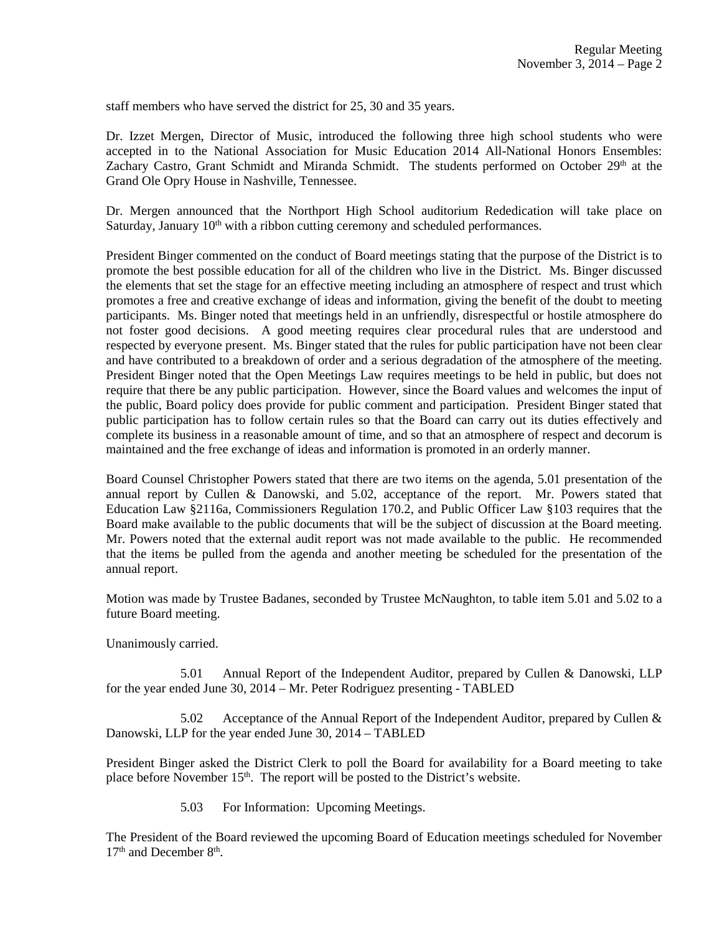staff members who have served the district for 25, 30 and 35 years.

Dr. Izzet Mergen, Director of Music, introduced the following three high school students who were accepted in to the National Association for Music Education 2014 All-National Honors Ensembles: Zachary Castro, Grant Schmidt and Miranda Schmidt. The students performed on October 29<sup>th</sup> at the Grand Ole Opry House in Nashville, Tennessee.

Dr. Mergen announced that the Northport High School auditorium Rededication will take place on Saturday, January  $10<sup>th</sup>$  with a ribbon cutting ceremony and scheduled performances.

President Binger commented on the conduct of Board meetings stating that the purpose of the District is to promote the best possible education for all of the children who live in the District. Ms. Binger discussed the elements that set the stage for an effective meeting including an atmosphere of respect and trust which promotes a free and creative exchange of ideas and information, giving the benefit of the doubt to meeting participants. Ms. Binger noted that meetings held in an unfriendly, disrespectful or hostile atmosphere do not foster good decisions. A good meeting requires clear procedural rules that are understood and respected by everyone present. Ms. Binger stated that the rules for public participation have not been clear and have contributed to a breakdown of order and a serious degradation of the atmosphere of the meeting. President Binger noted that the Open Meetings Law requires meetings to be held in public, but does not require that there be any public participation. However, since the Board values and welcomes the input of the public, Board policy does provide for public comment and participation. President Binger stated that public participation has to follow certain rules so that the Board can carry out its duties effectively and complete its business in a reasonable amount of time, and so that an atmosphere of respect and decorum is maintained and the free exchange of ideas and information is promoted in an orderly manner.

Board Counsel Christopher Powers stated that there are two items on the agenda, 5.01 presentation of the annual report by Cullen & Danowski, and 5.02, acceptance of the report. Mr. Powers stated that Education Law §2116a, Commissioners Regulation 170.2, and Public Officer Law §103 requires that the Board make available to the public documents that will be the subject of discussion at the Board meeting. Mr. Powers noted that the external audit report was not made available to the public. He recommended that the items be pulled from the agenda and another meeting be scheduled for the presentation of the annual report.

Motion was made by Trustee Badanes, seconded by Trustee McNaughton, to table item 5.01 and 5.02 to a future Board meeting.

Unanimously carried.

 5.01 Annual Report of the Independent Auditor, prepared by Cullen & Danowski, LLP for the year ended June 30, 2014 – Mr. Peter Rodriguez presenting - TABLED

 5.02 Acceptance of the Annual Report of the Independent Auditor, prepared by Cullen & Danowski, LLP for the year ended June 30, 2014 – TABLED

President Binger asked the District Clerk to poll the Board for availability for a Board meeting to take place before November 15<sup>th</sup>. The report will be posted to the District's website.

5.03 For Information: Upcoming Meetings.

The President of the Board reviewed the upcoming Board of Education meetings scheduled for November 17<sup>th</sup> and December 8<sup>th</sup>.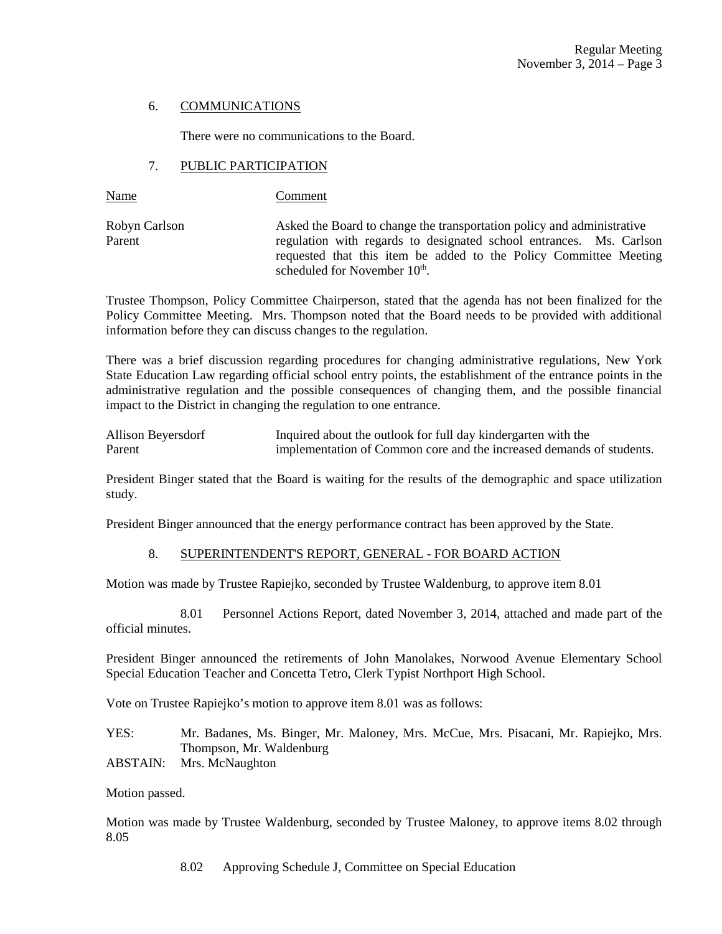# 6. COMMUNICATIONS

There were no communications to the Board.

# 7. PUBLIC PARTICIPATION

Name Comment

Robyn Carlson Asked the Board to change the transportation policy and administrative Parent regulation with regards to designated school entrances. Ms. Carlson requested that this item be added to the Policy Committee Meeting scheduled for November 10<sup>th</sup>.

Trustee Thompson, Policy Committee Chairperson, stated that the agenda has not been finalized for the Policy Committee Meeting. Mrs. Thompson noted that the Board needs to be provided with additional information before they can discuss changes to the regulation.

There was a brief discussion regarding procedures for changing administrative regulations, New York State Education Law regarding official school entry points, the establishment of the entrance points in the administrative regulation and the possible consequences of changing them, and the possible financial impact to the District in changing the regulation to one entrance.

| Allison Beyersdorf | Inquired about the outlook for full day kindergarten with the        |
|--------------------|----------------------------------------------------------------------|
| Parent             | implementation of Common core and the increased demands of students. |

President Binger stated that the Board is waiting for the results of the demographic and space utilization study.

President Binger announced that the energy performance contract has been approved by the State.

# 8. SUPERINTENDENT'S REPORT, GENERAL - FOR BOARD ACTION

Motion was made by Trustee Rapiejko, seconded by Trustee Waldenburg, to approve item 8.01

 8.01 Personnel Actions Report, dated November 3, 2014, attached and made part of the official minutes.

President Binger announced the retirements of John Manolakes, Norwood Avenue Elementary School Special Education Teacher and Concetta Tetro, Clerk Typist Northport High School.

Vote on Trustee Rapiejko's motion to approve item 8.01 was as follows:

YES: Mr. Badanes, Ms. Binger, Mr. Maloney, Mrs. McCue, Mrs. Pisacani, Mr. Rapiejko, Mrs. Thompson, Mr. Waldenburg

ABSTAIN: Mrs. McNaughton

Motion passed.

Motion was made by Trustee Waldenburg, seconded by Trustee Maloney, to approve items 8.02 through 8.05

8.02 Approving Schedule J, Committee on Special Education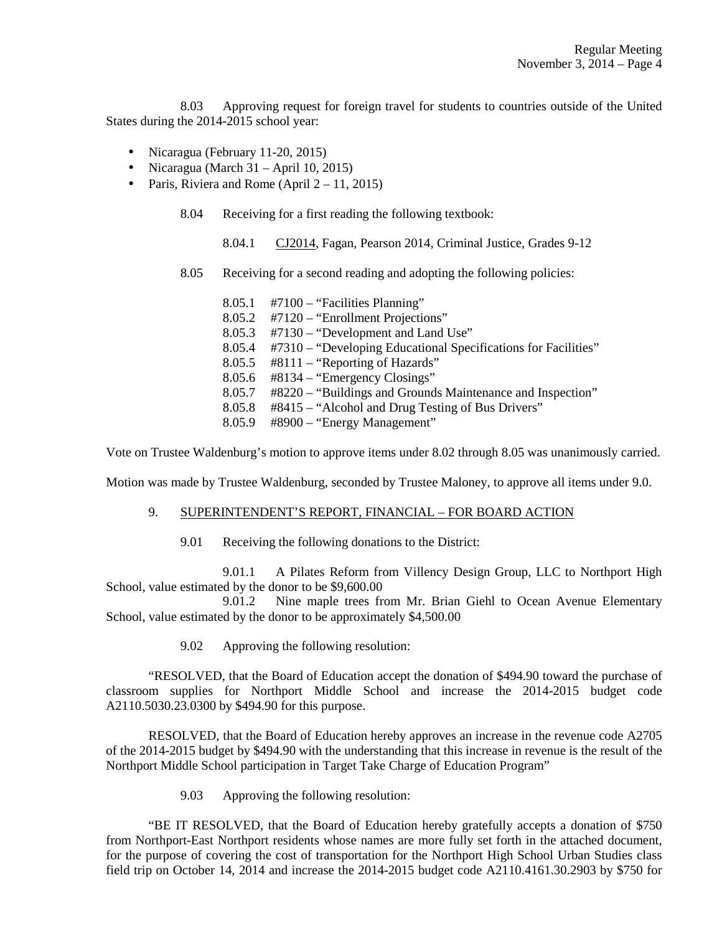8.03 Approving request for foreign travel for students to countries outside of the United States during the 2014-2015 school year:

- Nicaragua (February 11-20, 2015)
- Nicaragua (March 31 April 10, 2015)
- Paris, Riviera and Rome (April  $2 11$ , 2015)

8.04 Receiving for a first reading the following textbook:

8.04.1 CJ2014, Fagan, Pearson 2014, Criminal Justice, Grades 9-12

8.05 Receiving for a second reading and adopting the following policies:

|        | $8.05.1$ #7100 – "Facilities Planning"                                |
|--------|-----------------------------------------------------------------------|
|        | $8.05.2$ #7120 – "Enrollment Projections"                             |
|        | $8.05.3$ #7130 – "Development and Land Use"                           |
|        | 8.05.4 #7310 – "Developing Educational Specifications for Facilities" |
|        | $8.05.5$ #8111 – "Reporting of Hazards"                               |
|        | $8.05.6$ #8134 – "Emergency Closings"                                 |
| 8.05.7 | #8220 – "Buildings and Grounds Maintenance and Inspection"            |
| 8.05.8 | #8415 – "Alcohol and Drug Testing of Bus Drivers"                     |
| 8.05.9 | #8900 - "Energy Management"                                           |

Vote on Trustee Waldenburg's motion to approve items under 8.02 through 8.05 was unanimously carried.

Motion was made by Trustee Waldenburg, seconded by Trustee Maloney, to approve all items under 9.0.

#### 9. SUPERINTENDENT'S REPORT, FINANCIAL – FOR BOARD ACTION

9.01 Receiving the following donations to the District:

 9.01.1 A Pilates Reform from Villency Design Group, LLC to Northport High School, value estimated by the donor to be \$9,600.00

 9.01.2 Nine maple trees from Mr. Brian Giehl to Ocean Avenue Elementary School, value estimated by the donor to be approximately \$4,500.00

9.02 Approving the following resolution:

"RESOLVED, that the Board of Education accept the donation of \$494.90 toward the purchase of classroom supplies for Northport Middle School and increase the 2014-2015 budget code A2110.5030.23.0300 by \$494.90 for this purpose.

RESOLVED, that the Board of Education hereby approves an increase in the revenue code A2705 of the 2014-2015 budget by \$494.90 with the understanding that this increase in revenue is the result of the Northport Middle School participation in Target Take Charge of Education Program"

9.03 Approving the following resolution:

"BE IT RESOLVED, that the Board of Education hereby gratefully accepts a donation of \$750 from Northport-East Northport residents whose names are more fully set forth in the attached document, for the purpose of covering the cost of transportation for the Northport High School Urban Studies class field trip on October 14, 2014 and increase the 2014-2015 budget code A2110.4161.30.2903 by \$750 for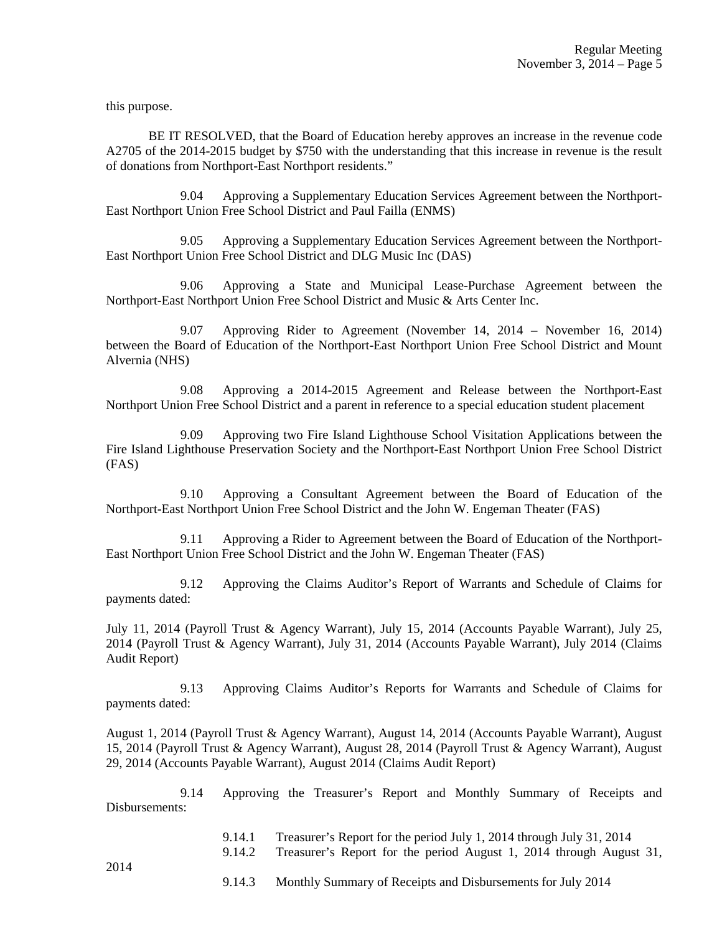this purpose.

BE IT RESOLVED, that the Board of Education hereby approves an increase in the revenue code A2705 of the 2014-2015 budget by \$750 with the understanding that this increase in revenue is the result of donations from Northport-East Northport residents."

 9.04 Approving a Supplementary Education Services Agreement between the Northport-East Northport Union Free School District and Paul Failla (ENMS)

 9.05 Approving a Supplementary Education Services Agreement between the Northport-East Northport Union Free School District and DLG Music Inc (DAS)

 9.06 Approving a State and Municipal Lease-Purchase Agreement between the Northport-East Northport Union Free School District and Music & Arts Center Inc.

 9.07 Approving Rider to Agreement (November 14, 2014 – November 16, 2014) between the Board of Education of the Northport-East Northport Union Free School District and Mount Alvernia (NHS)

 9.08 Approving a 2014-2015 Agreement and Release between the Northport-East Northport Union Free School District and a parent in reference to a special education student placement

 9.09 Approving two Fire Island Lighthouse School Visitation Applications between the Fire Island Lighthouse Preservation Society and the Northport-East Northport Union Free School District (FAS)

 9.10 Approving a Consultant Agreement between the Board of Education of the Northport-East Northport Union Free School District and the John W. Engeman Theater (FAS)

 9.11 Approving a Rider to Agreement between the Board of Education of the Northport-East Northport Union Free School District and the John W. Engeman Theater (FAS)

 9.12 Approving the Claims Auditor's Report of Warrants and Schedule of Claims for payments dated:

July 11, 2014 (Payroll Trust & Agency Warrant), July 15, 2014 (Accounts Payable Warrant), July 25, 2014 (Payroll Trust & Agency Warrant), July 31, 2014 (Accounts Payable Warrant), July 2014 (Claims Audit Report)

 9.13 Approving Claims Auditor's Reports for Warrants and Schedule of Claims for payments dated:

August 1, 2014 (Payroll Trust & Agency Warrant), August 14, 2014 (Accounts Payable Warrant), August 15, 2014 (Payroll Trust & Agency Warrant), August 28, 2014 (Payroll Trust & Agency Warrant), August 29, 2014 (Accounts Payable Warrant), August 2014 (Claims Audit Report)

 9.14 Approving the Treasurer's Report and Monthly Summary of Receipts and Disbursements:

- 9.14.1 Treasurer's Report for the period July 1, 2014 through July 31, 2014
- 9.14.2 Treasurer's Report for the period August 1, 2014 through August 31,

9.14.3 Monthly Summary of Receipts and Disbursements for July 2014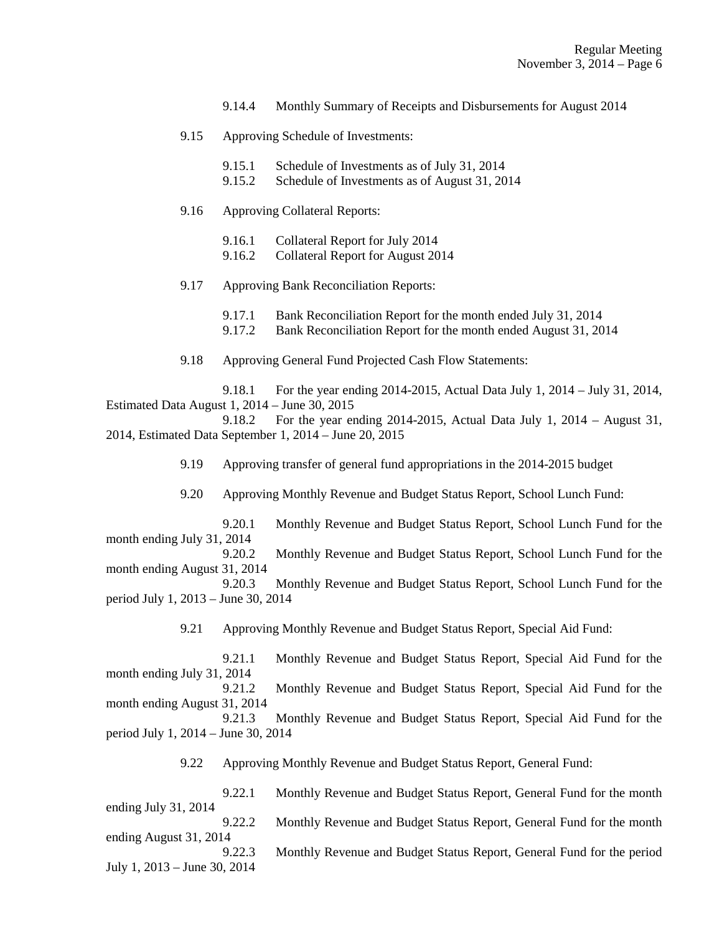- 9.14.4 Monthly Summary of Receipts and Disbursements for August 2014
- 9.15 Approving Schedule of Investments:
	- 9.15.1 Schedule of Investments as of July 31, 2014
	- 9.15.2 Schedule of Investments as of August 31, 2014

# 9.16 Approving Collateral Reports:

period July 1, 2014 – June 30, 2014

- 9.16.1 Collateral Report for July 2014
- 9.16.2 Collateral Report for August 2014
- 9.17 Approving Bank Reconciliation Reports:
	- 9.17.1 Bank Reconciliation Report for the month ended July 31, 2014
	- 9.17.2 Bank Reconciliation Report for the month ended August 31, 2014
- 9.18 Approving General Fund Projected Cash Flow Statements:

 9.18.1 For the year ending 2014-2015, Actual Data July 1, 2014 – July 31, 2014, Estimated Data August 1, 2014 – June 30, 2015

 9.18.2 For the year ending 2014-2015, Actual Data July 1, 2014 – August 31, 2014, Estimated Data September 1, 2014 – June 20, 2015

9.19 Approving transfer of general fund appropriations in the 2014-2015 budget

9.20 Approving Monthly Revenue and Budget Status Report, School Lunch Fund:

 9.20.1 Monthly Revenue and Budget Status Report, School Lunch Fund for the month ending July 31, 2014 9.20.2 Monthly Revenue and Budget Status Report, School Lunch Fund for the month ending August 31, 2014 9.20.3 Monthly Revenue and Budget Status Report, School Lunch Fund for the period July 1, 2013 – June 30, 2014

9.21 Approving Monthly Revenue and Budget Status Report, Special Aid Fund:

 9.21.1 Monthly Revenue and Budget Status Report, Special Aid Fund for the month ending July 31, 2014 9.21.2 Monthly Revenue and Budget Status Report, Special Aid Fund for the month ending August 31, 2014 9.21.3 Monthly Revenue and Budget Status Report, Special Aid Fund for the

9.22 Approving Monthly Revenue and Budget Status Report, General Fund:

 9.22.1 Monthly Revenue and Budget Status Report, General Fund for the month ending July 31, 2014 9.22.2 Monthly Revenue and Budget Status Report, General Fund for the month ending August 31, 2014 9.22.3 Monthly Revenue and Budget Status Report, General Fund for the period July 1, 2013 – June 30, 2014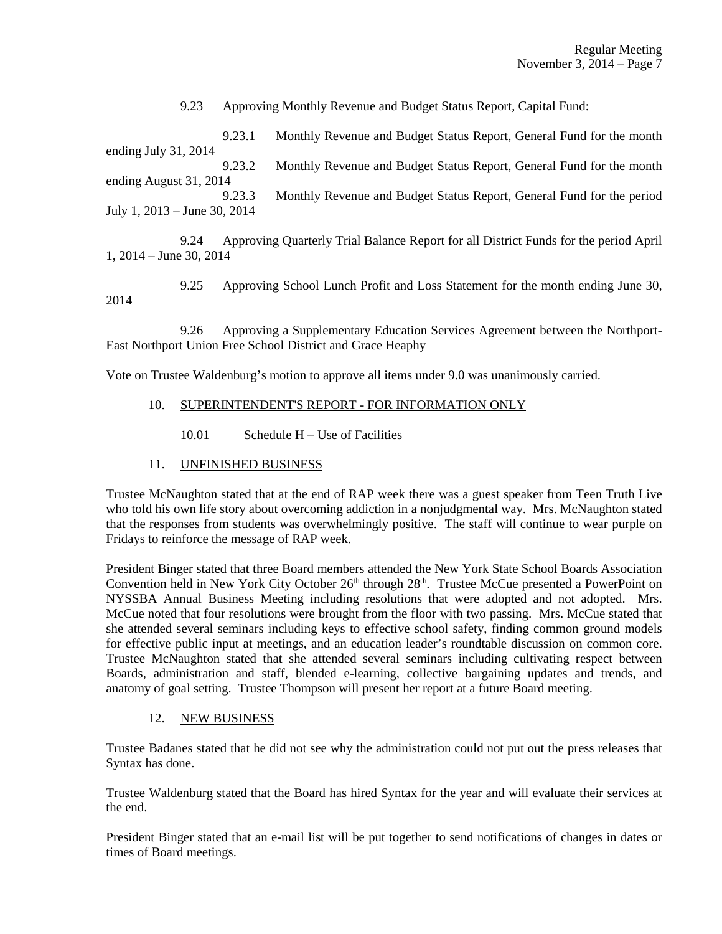9.23 Approving Monthly Revenue and Budget Status Report, Capital Fund:

 9.23.1 Monthly Revenue and Budget Status Report, General Fund for the month ending July 31, 2014 9.23.2 Monthly Revenue and Budget Status Report, General Fund for the month ending August 31, 2014 9.23.3 Monthly Revenue and Budget Status Report, General Fund for the period July 1, 2013 – June 30, 2014

 9.24 Approving Quarterly Trial Balance Report for all District Funds for the period April 1, 2014 – June 30, 2014

 9.25 Approving School Lunch Profit and Loss Statement for the month ending June 30, 2014

 9.26 Approving a Supplementary Education Services Agreement between the Northport-East Northport Union Free School District and Grace Heaphy

Vote on Trustee Waldenburg's motion to approve all items under 9.0 was unanimously carried.

- 10. SUPERINTENDENT'S REPORT FOR INFORMATION ONLY
	- 10.01 Schedule H Use of Facilities

# 11. UNFINISHED BUSINESS

Trustee McNaughton stated that at the end of RAP week there was a guest speaker from Teen Truth Live who told his own life story about overcoming addiction in a nonjudgmental way. Mrs. McNaughton stated that the responses from students was overwhelmingly positive. The staff will continue to wear purple on Fridays to reinforce the message of RAP week.

President Binger stated that three Board members attended the New York State School Boards Association Convention held in New York City October 26<sup>th</sup> through 28<sup>th</sup>. Trustee McCue presented a PowerPoint on NYSSBA Annual Business Meeting including resolutions that were adopted and not adopted. Mrs. McCue noted that four resolutions were brought from the floor with two passing. Mrs. McCue stated that she attended several seminars including keys to effective school safety, finding common ground models for effective public input at meetings, and an education leader's roundtable discussion on common core. Trustee McNaughton stated that she attended several seminars including cultivating respect between Boards, administration and staff, blended e-learning, collective bargaining updates and trends, and anatomy of goal setting. Trustee Thompson will present her report at a future Board meeting.

## 12. NEW BUSINESS

Trustee Badanes stated that he did not see why the administration could not put out the press releases that Syntax has done.

Trustee Waldenburg stated that the Board has hired Syntax for the year and will evaluate their services at the end.

President Binger stated that an e-mail list will be put together to send notifications of changes in dates or times of Board meetings.